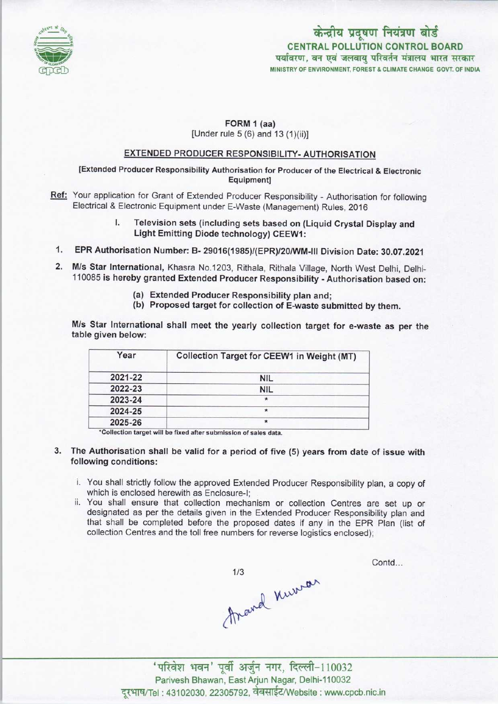

# CENTRAL POLLUTION CONTROL BOARD पर्यावरण, वन एवं जलवाय परिवर्तन मंत्रालय भारत सरकार MINISTRY OF ENVIRONMENT, FOREST & CLIMATE CHANGE GOVT. OF INDIA केन्द्रीय प्रदूषण नियंत्रण बोर्ड

#### FORM 1 (aa) [Under rule 5 (6) and 13 (1)(ii)]

## EXTENDED PRODUCER RESPONSIBILITY-AUTHORISATION

[Extended Producer Responsibility Authorisation for Producer of the Electrical & Electronic Equipment]

- Ref: Your application for Grant of Extended Producer Responsibility Authorisation for following Electrical & Electronic Equipment under E-Waste (Management) Rules, 2016
	- I. Television sets (including sets based on (Liquid Crystal Display and Light Emitting Diode technology) CEEW1:
	- 1.EPR Authorisation Number: B- 29016(1985)/(EPR)/20/WM-IN Division Date: 30.07.2021
	- 2.M/s Star International, Khasra No.1203, Rithala, Rithala Village, North West Delhi, Delhi-110085 is hereby granted Extended Producer Responsibility - Authorisation based on:
		- (a)Extended Producer Responsibility plan and;
		- (b) Proposed target for collection of E-waste submitted by them.

M/s Star International shall meet the yearly collection target for e-waste as per the table given below:

| Year    | <b>Collection Target for CEEW1 in Weight (MT)</b> |
|---------|---------------------------------------------------|
| 2021-22 | <b>NIL</b>                                        |
| 2022-23 | <b>NIL</b>                                        |
| 2023-24 | $\star$                                           |
| 2024-25 | ×                                                 |
| 2025-26 | $\star$                                           |

'Collection target will be fixed aftersubmission of sales data.

- 3. The Authorisation shall be valid for a period of five (5) years from date of issue with following conditions:
	- i. You shall strictly follow the approved Extended Producer Responsibility plan, a copy of which is enclosed herewith as Enclosure-I;
	- ii. You shall ensure that collection mechanism or collection Centres are set up or designated as per the details given in the Extended Producer Responsibility plan and that shall be completed before the proposed dates if any in the EPR Plan (list of collection Centres and the toll free numbers for reverse logistics enclosed);

1/3<br>Arand Kurrar

Contd...

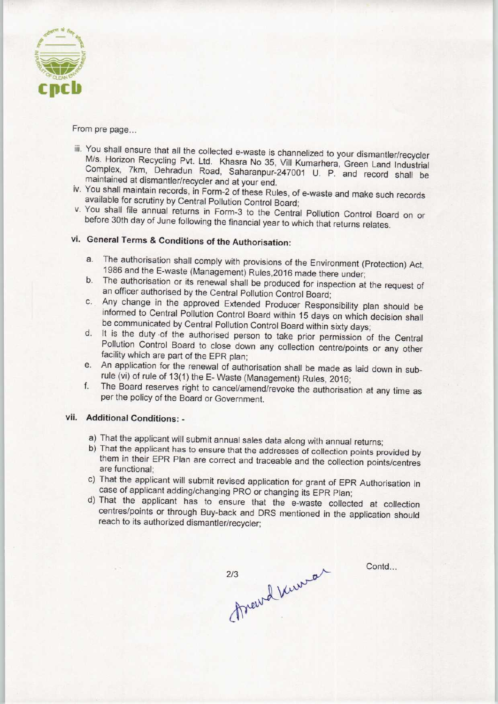

From pre page...

- iii. You shall ensure that all the collected e-waste is channelized to your dismantler/recycler M/s. Horizon Recycling Pvt. Ltd. Khasra No 35, Vill Kumarhera, Green Land Industrial Complex, 7km, Dehradun Road, Saharanpur-247001 U. P. and record shall be maintained at dismantler/recycler and at your end.
- iv. You shall maintain records, in Form-2 of these Rules, of e-waste and make such records available for scrutiny by Central Pollution Control Board;
- v. You shall file annual returns in Form-3 to the Central Pollution Control Board on or before 30th day of June following the financial year to which that returns relates.

# vi. General Terms & Conditions of the Authorisation:

- a.The authorisation shall comply with provisions of the Environment (Protection) Act, 1986 and the E-waste (Management) Rules,2016 made there under;
- b.The authorisation or its renewal shall be produced for inspection at the request of an officer authorised by the Central Pollution Control Board;
- c.Any change in the approved Extended Producer Responsibility plan should be informed to Central Pollution Control Board within 15 days on which decision shall be communicated by Central Pollution Control Board within sixty days;
- d. It is the duty of the authorised person to take prior permission of the Central Pollution Control Board to close down any collection centre/points or any other facility which are part of the EPR plan;
- e. An application for the renewal of authorisation shall be made as laid down in subrule (vi) of rule of 13(1) the E- Waste (Management) Rules, 2016;
- f. The Board reserves right to cancel/amend/revoke the authorisation at any time as per the policy of the Board or Government.

### vii. Additional Conditions: -

- a) That the applicant will submit annual sales data along with annual returns;
- b)That the applicant has to ensure that the addresses of collection points provided by them in their EPR Plan are correct and traceable and the collection points/centres are functional;
- c)That the applicant will submit revised application for grant of EPR Authorisation in case of applicant adding/changing PRO or changing its EPR Plan;
- d)That the applicant has to ensure that the e-waste collected at collection centres/points or through Buy-back and DRS mentioned in the application should reach to its authorized dismantler/recycler;

213 Preud Ververal

Contd...